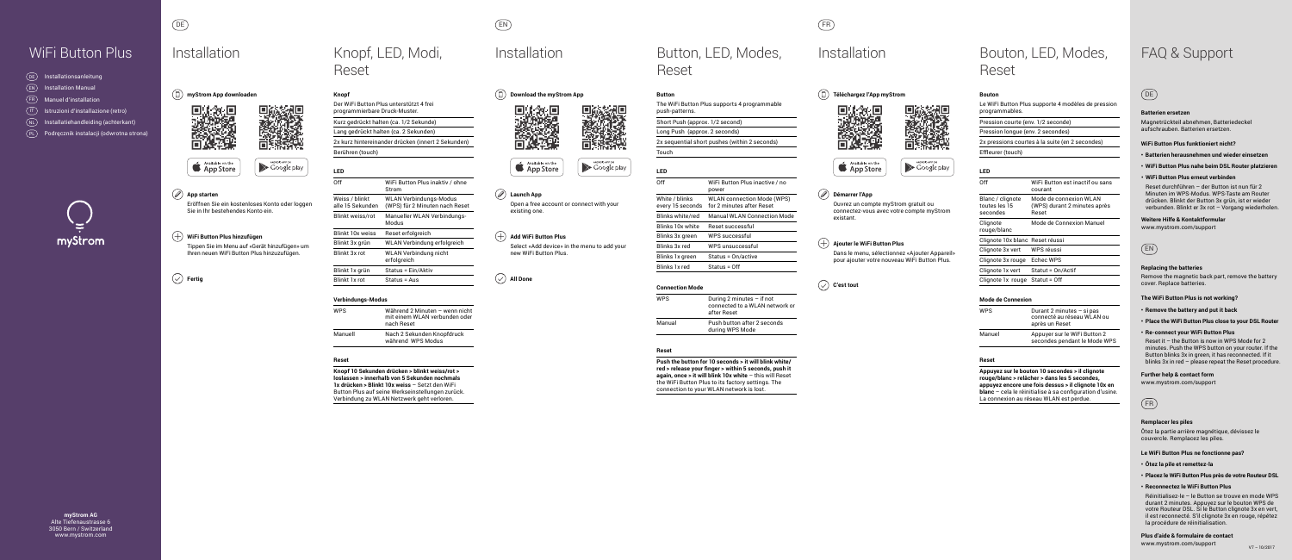**myStrom AG** Alte Tiefenaustrasse 6 3050 Bern / Switzerland www.mystrom.com

## Installation Knopf, LED, Modi, Reset

## **Téléchargez l'App myStrom** n





# Button, LED, Modes,









### **App starten**

Eröffnen Sie ein kostenloses Konto oder loggen Sie in Ihr bestehendes Konto ein.

Google play

### WiFi Button Plus | Installation Knopf, LED, Modi, Installation Button, LED, Modes, Installation Bouton, LED, Modes, FAQ & Support Installation Bouton, LED, Modes, Reset

### **WiFi Button Plus hinzufügen**

Tippen Sie im Menu auf «Gerät hinzufügen» um Ihren neuen WiFi Button Plus hinzuzufügen.

**Fertig**

DE FR

| DE        | Installationsanleitung                  |
|-----------|-----------------------------------------|
| <b>EN</b> | <b>Installation Manual</b>              |
| FR.       | <b>Manuel d'installation</b>            |
|           | Istruzioni d'installazione (retro)      |
| <b>NL</b> | Installatiehandleiding (achterkant)     |
| PL        | Podręcznik instalacji (odwrotna strona) |



### **Démarrer l'App**

П,

Ouvrez un compte myStrom gratuit ou connectez-vous avec votre compte myStrom existant.

### **Ajouter le WiFi Button Plus**

Dans le menu, sélectionnez «Ajouter Appareil» pour ajouter votre nouveau WiFi Button Plus.

**C'est tout**

EN



Available on the



## **Launch App**

Open a free account or connect with your existing one.

### $(\overline{+})$  Add WiFi Button Plus

Select «Add device» in the menu to add your new WiFi Button Plus.

**All Done**

## Installation

DE

### **Batterien ersetzen**

Magnetrückteil abnehmen, Batteriedeckel aufschrauben. Batterien ersetzen.

### **WiFi Button Plus funktioniert nicht?**

- **• Batterien herausnehmen und wieder einsetzen**
- **• WiFi Button Plus nahe beim DSL Router platzieren**
- **• WiFi Button Plus erneut verbinden**

Reset durchführen – der Button ist nun für 2 Minuten im WPS-Modus. WPS-Taste am Router drücken. Blinkt der Button 3x grün, ist er wieder verbunden. Blinkt er 3x rot – Vorgang wiederholen.

### **Weitere Hilfe & Kontaktformular**

www.mystrom.com/support

### **Knopf**

Der WiFi Button Plus unterstützt 4 frei programmierbare Druck-Muster.

Kurz gedrückt halten (ca. 1/2 Sekunde) Lang gedrückt halten (ca. 2 Sekunden)

2x kurz hintereinander drücken (innert 2 Sekunden)

### Berühren (touch)

| LED                                |                                                          |
|------------------------------------|----------------------------------------------------------|
| Off                                | WiFi Button Plus inaktiv / ohne<br>Strom                 |
| Weiss / blinkt<br>alle 15 Sekunden | WLAN Verbindungs-Modus<br>(WPS) für 2 Minuten nach Reset |
| <b>Blinkt weiss/rot</b>            | Manueller WLAN Verbindungs-<br>euboM                     |
| <b>Blinkt 10x weiss</b>            | Reset erfolgreich                                        |
| Blinkt 3x grün                     | WLAN Verbindung erfolgreich                              |
| <b>Blinkt 3x rot</b>               | WLAN Verbindung nicht<br>erfolgreich                     |
| Blinkt 1x grün                     | Status = Ein/Aktiv                                       |
| <b>Blinkt 1x rot</b>               | Status = Aus                                             |

### **Verbindungs-Modus**

| <b>WPS</b> | Während 2 Minuten - wenn nicht<br>mit einem WLAN verbunden oder<br>nach Reset |
|------------|-------------------------------------------------------------------------------|
| Manuell    | Nach 2 Sekunden Knopfdruck<br>während WPS Modus                               |

### **Reset**

**Knopf 10 Sekunden drücken > blinkt weiss/rot > loslassen > innerhalb von 5 Sekunden nochmals 1x drücken > Blinkt 10x weiss** – Setzt den WiFi Button Plus auf seine Werkseinstellungen zurück. Verbindung zu WLAN Netzwerk geht verloren.

**Button**

## The WiFi Button Plus supports 4 programmable

push-patterns.

Short Push (approx. 1/2 second)

Long Push (approx. 2 seconds) 2x sequential short pushes (within 2 seconds)

Touch

**LED**

White / bli every 15 se Blinks whi

Blinks 10x Blinks 3x Blinks 3x

Blinks 1x g Blinks 1x r

| Off                                | WiFi Button Plus inactive / no<br>power                        |
|------------------------------------|----------------------------------------------------------------|
| White / blinks<br>every 15 seconds | <b>WLAN</b> connection Mode (WPS)<br>for 2 minutes after Reset |
| Blinks white/red                   | <b>Manual WLAN Connection Mode</b>                             |
| Blinks 10x white                   | Reset successful                                               |
| Blinks 3x green                    | WPS successful                                                 |
| Blinks 3x red                      | WPS unsuccessful                                               |
| Blinks 1x green                    | Status = On/active                                             |
| Blinks 1x red                      | Status = Off                                                   |
|                                    |                                                                |

### **Connection Mode**

 $WPS$ 

Manual

| During 2 minutes $-$ if not<br>connected to a WLAN network or<br>after Reset |
|------------------------------------------------------------------------------|
| Push button after 2 seconds<br>during WPS Mode                               |

### **Reset**

**Push the button for 10 seconds > it will blink white/ red > release your finger > within 5 seconds, push it again, once > it will blink 10x white** – this will Reset the WiFi Button Plus to its factory settings. The connection to your WLAN network is lost.

### **Bouton**

Le WiFi Button Plus supporte 4 modèles de pression programmables.

Pression courte (env. 1/2 seconde) Pression longue (env. 2 secondes)

2x pressions courtes à la suite (en 2 secondes)

### Effleurer (touch)

| LED                                           |                                                                 |
|-----------------------------------------------|-----------------------------------------------------------------|
| 0ff                                           | WiFi Button est inactif ou sans<br>courant                      |
| Blanc / clignote<br>toutes les 15<br>secondes | Mode de connexion WLAN<br>(WPS) durant 2 minutes après<br>Reset |
| Clignote<br>rouge/blanc                       | Mode de Connexion Manuel                                        |
| Clignote 10x blanc Reset réussi               |                                                                 |
| Clignote 3x vert                              | WPS réussi                                                      |
| Clignote 3x rouge                             | Echec WPS                                                       |
| Clignote 1x vert                              | Statut = On/Actif                                               |
| Clignote 1x rouge                             | Statut = Off                                                    |

### **Mode de Connexion**

| Durant 2 minutes - si pas<br>connecté au réseau WLAN ou<br>après un Reset |
|---------------------------------------------------------------------------|
| Appuyer sur le WiFi Button 2<br>secondes pendant le Mode WPS              |
|                                                                           |

### **Reset**

**Appuyez sur le bouton 10 secondes > il clignote rouge/blanc > relâcher > dans les 5 secondes, appuyez encore une fois dessus > il clignote 10x en blanc** – cela le réinitialise à sa configuration d'usine. La connexion au réseau WLAN est perdue.

## EN

### **Replacing the batteries**

Remove the magnetic back part, remove the battery cover. Replace batteries.

### **The WiFi Button Plus is not working?**

- **• Remove the battery and put it back**
- **• Place the WiFi Button Plus close to your DSL Router**
- **• Re-connect your WiFi Button Plus**

Reset it – the Button is now in WPS Mode for 2 minutes. Push the WPS button on your router. If the Button blinks 3x in green, it has reconnected. If it blinks 3x in red – please repeat the Reset procedure.

### **Further help & contact form**

www.mystrom.com/support



### **Remplacer les piles**

Ôtez la partie arrière magnétique, dévissez le couvercle. Remplacez les piles.

- **Le WiFi Button Plus ne fonctionne pas?**
- **• Ôtez la pile et remettez-la**
- **• Placez le WiFi Button Plus près de votre Routeur DSL**
- **• Reconnectez le WiFi Button Plus**

Réinitialisez-le – le Button se trouve en mode WPS durant 2 minutes. Appuyez sur le bouton WPS de votre Routeur DSL. Si le Button clignote 3x en vert, il est reconnecté. S'il clignote 3x en rouge, répétez la procédure de réinitialisation.

### **Plus d'aide & formulaire de contact**

www.mystrom.com/support